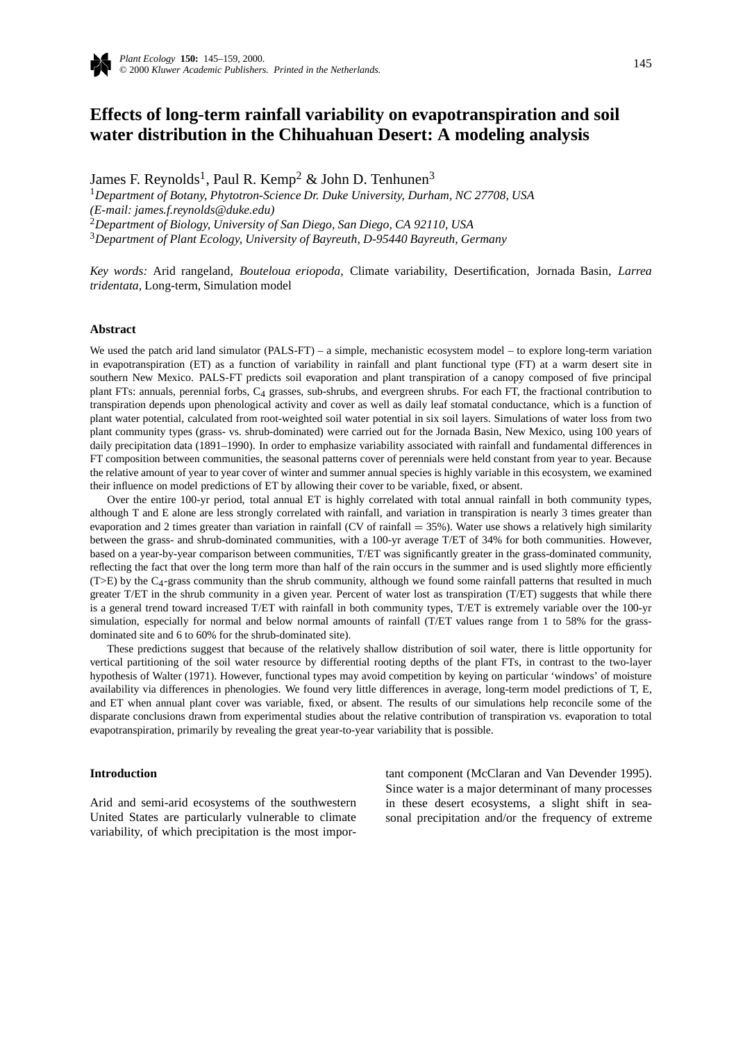

# **Effects of long-term rainfall variability on evapotranspiration and soil water distribution in the Chihuahuan Desert: A modeling analysis**

James F. Reynolds<sup>1</sup>, Paul R. Kemp<sup>2</sup> & John D. Tenhunen<sup>3</sup>

*Department of Botany, Phytotron-Science Dr. Duke University, Durham, NC 27708, USA (E-mail: james.f.reynolds@duke.edu) Department of Biology, University of San Diego, San Diego, CA 92110, USA Department of Plant Ecology, University of Bayreuth, D-95440 Bayreuth, Germany*

*Key words:* Arid rangeland, *Bouteloua eriopoda*, Climate variability, Desertification, Jornada Basin, *Larrea tridentata*, Long-term, Simulation model

### **Abstract**

We used the patch arid land simulator (PALS-FT) – a simple, mechanistic ecosystem model – to explore long-term variation in evapotranspiration (ET) as a function of variability in rainfall and plant functional type (FT) at a warm desert site in southern New Mexico. PALS-FT predicts soil evaporation and plant transpiration of a canopy composed of five principal plant FTs: annuals, perennial forbs, C4 grasses, sub-shrubs, and evergreen shrubs. For each FT, the fractional contribution to transpiration depends upon phenological activity and cover as well as daily leaf stomatal conductance, which is a function of plant water potential, calculated from root-weighted soil water potential in six soil layers. Simulations of water loss from two plant community types (grass- vs. shrub-dominated) were carried out for the Jornada Basin, New Mexico, using 100 years of daily precipitation data (1891–1990). In order to emphasize variability associated with rainfall and fundamental differences in FT composition between communities, the seasonal patterns cover of perennials were held constant from year to year. Because the relative amount of year to year cover of winter and summer annual species is highly variable in this ecosystem, we examined their influence on model predictions of ET by allowing their cover to be variable, fixed, or absent.

Over the entire 100-yr period, total annual ET is highly correlated with total annual rainfall in both community types, although T and E alone are less strongly correlated with rainfall, and variation in transpiration is nearly 3 times greater than evaporation and 2 times greater than variation in rainfall (CV of rainfall = 35%). Water use shows a relatively high similarity between the grass- and shrub-dominated communities, with a 100-yr average T/ET of 34% for both communities. However, based on a year-by-year comparison between communities, T/ET was significantly greater in the grass-dominated community, reflecting the fact that over the long term more than half of the rain occurs in the summer and is used slightly more efficiently  $(T>E)$  by the C<sub>4</sub>-grass community than the shrub community, although we found some rainfall patterns that resulted in much greater T/ET in the shrub community in a given year. Percent of water lost as transpiration (T/ET) suggests that while there is a general trend toward increased T/ET with rainfall in both community types, T/ET is extremely variable over the 100-yr simulation, especially for normal and below normal amounts of rainfall (T/ET values range from 1 to 58% for the grassdominated site and 6 to 60% for the shrub-dominated site).

These predictions suggest that because of the relatively shallow distribution of soil water, there is little opportunity for vertical partitioning of the soil water resource by differential rooting depths of the plant FTs, in contrast to the two-layer hypothesis of Walter (1971). However, functional types may avoid competition by keying on particular 'windows' of moisture availability via differences in phenologies. We found very little differences in average, long-term model predictions of T, E, and ET when annual plant cover was variable, fixed, or absent. The results of our simulations help reconcile some of the disparate conclusions drawn from experimental studies about the relative contribution of transpiration vs. evaporation to total evapotranspiration, primarily by revealing the great year-to-year variability that is possible.

### **Introduction**

Arid and semi-arid ecosystems of the southwestern United States are particularly vulnerable to climate variability, of which precipitation is the most important component (McClaran and Van Devender 1995). Since water is a major determinant of many processes in these desert ecosystems, a slight shift in seasonal precipitation and/or the frequency of extreme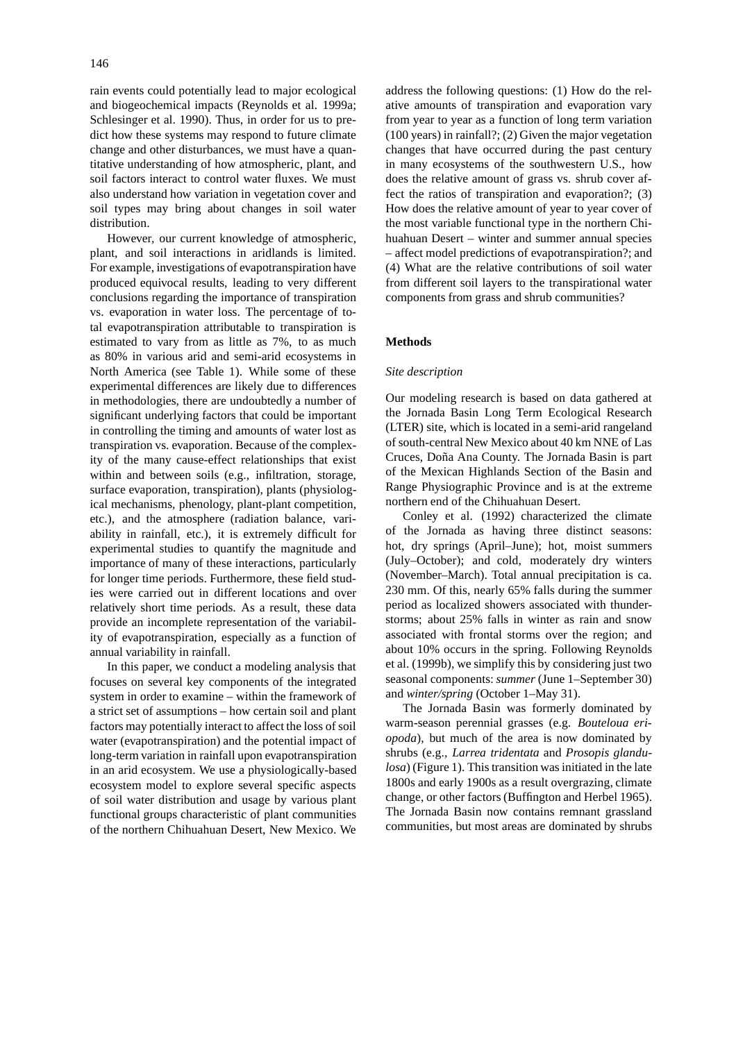rain events could potentially lead to major ecological and biogeochemical impacts (Reynolds et al. 1999a; Schlesinger et al. 1990). Thus, in order for us to predict how these systems may respond to future climate change and other disturbances, we must have a quantitative understanding of how atmospheric, plant, and soil factors interact to control water fluxes. We must also understand how variation in vegetation cover and soil types may bring about changes in soil water distribution.

However, our current knowledge of atmospheric, plant, and soil interactions in aridlands is limited. For example, investigations of evapotranspiration have produced equivocal results, leading to very different conclusions regarding the importance of transpiration vs. evaporation in water loss. The percentage of total evapotranspiration attributable to transpiration is estimated to vary from as little as 7%, to as much as 80% in various arid and semi-arid ecosystems in North America (see Table 1). While some of these experimental differences are likely due to differences in methodologies, there are undoubtedly a number of significant underlying factors that could be important in controlling the timing and amounts of water lost as transpiration vs. evaporation. Because of the complexity of the many cause-effect relationships that exist within and between soils (e.g., infiltration, storage, surface evaporation, transpiration), plants (physiological mechanisms, phenology, plant-plant competition, etc.), and the atmosphere (radiation balance, variability in rainfall, etc.), it is extremely difficult for experimental studies to quantify the magnitude and importance of many of these interactions, particularly for longer time periods. Furthermore, these field studies were carried out in different locations and over relatively short time periods. As a result, these data provide an incomplete representation of the variability of evapotranspiration, especially as a function of annual variability in rainfall.

In this paper, we conduct a modeling analysis that focuses on several key components of the integrated system in order to examine – within the framework of a strict set of assumptions – how certain soil and plant factors may potentially interact to affect the loss of soil water (evapotranspiration) and the potential impact of long-term variation in rainfall upon evapotranspiration in an arid ecosystem. We use a physiologically-based ecosystem model to explore several specific aspects of soil water distribution and usage by various plant functional groups characteristic of plant communities of the northern Chihuahuan Desert, New Mexico. We

address the following questions: (1) How do the relative amounts of transpiration and evaporation vary from year to year as a function of long term variation (100 years) in rainfall?; (2) Given the major vegetation changes that have occurred during the past century in many ecosystems of the southwestern U.S., how does the relative amount of grass vs. shrub cover affect the ratios of transpiration and evaporation?; (3) How does the relative amount of year to year cover of the most variable functional type in the northern Chihuahuan Desert – winter and summer annual species – affect model predictions of evapotranspiration?; and (4) What are the relative contributions of soil water from different soil layers to the transpirational water components from grass and shrub communities?

# **Methods**

## *Site description*

Our modeling research is based on data gathered at the Jornada Basin Long Term Ecological Research (LTER) site, which is located in a semi-arid rangeland of south-central New Mexico about 40 km NNE of Las Cruces, Doña Ana County. The Jornada Basin is part of the Mexican Highlands Section of the Basin and Range Physiographic Province and is at the extreme northern end of the Chihuahuan Desert.

Conley et al. (1992) characterized the climate of the Jornada as having three distinct seasons: hot, dry springs (April–June); hot, moist summers (July–October); and cold, moderately dry winters (November–March). Total annual precipitation is ca. 230 mm. Of this, nearly 65% falls during the summer period as localized showers associated with thunderstorms; about 25% falls in winter as rain and snow associated with frontal storms over the region; and about 10% occurs in the spring. Following Reynolds et al. (1999b), we simplify this by considering just two seasonal components: *summer* (June 1–September 30) and *winter/spring* (October 1–May 31).

The Jornada Basin was formerly dominated by warm-season perennial grasses (e.g. *Bouteloua eriopoda*), but much of the area is now dominated by shrubs (e.g., *Larrea tridentata* and *Prosopis glandulosa*) (Figure 1). This transition was initiated in the late 1800s and early 1900s as a result overgrazing, climate change, or other factors (Buffington and Herbel 1965). The Jornada Basin now contains remnant grassland communities, but most areas are dominated by shrubs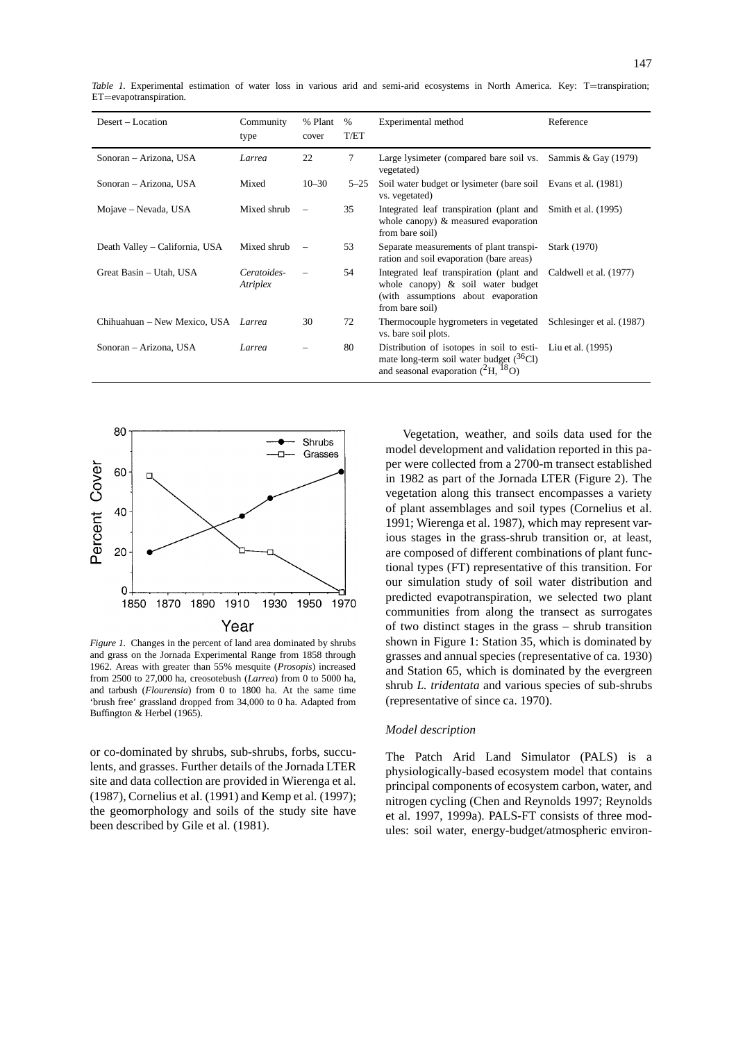*Table 1.* Experimental estimation of water loss in various arid and semi-arid ecosystems in North America. Key: T=transpiration; ET=evapotranspiration.

| Desert – Location                   | Community<br>type       | % Plant<br>cover         | %<br>T/ET | Experimental method                                                                                                                                        | Reference                 |
|-------------------------------------|-------------------------|--------------------------|-----------|------------------------------------------------------------------------------------------------------------------------------------------------------------|---------------------------|
| Sonoran – Arizona, USA              | Larrea                  | 22                       | 7         | Large lysimeter (compared bare soil vs. Sammis & Gay $(1979)$ )<br>vegetated)                                                                              |                           |
| Sonoran – Arizona, USA              | Mixed                   | $10 - 30$                | $5 - 25$  | Soil water budget or lysimeter (bare soil Evans et al. (1981)<br>vs. vegetated)                                                                            |                           |
| Mojave – Nevada, USA                | Mixed shrub             | $\overline{\phantom{a}}$ | 35        | Integrated leaf transpiration (plant and<br>whole canopy) $\&$ measured evaporation<br>from bare soil)                                                     | Smith et al. (1995)       |
| Death Valley – California, USA      | Mixed shrub             |                          | 53        | Separate measurements of plant transpi-<br>ration and soil evaporation (bare areas)                                                                        | Stark (1970)              |
| Great Basin – Utah, USA             | Ceratoides-<br>Atriplex |                          | 54        | Integrated leaf transpiration (plant and<br>whole canopy) $\&$ soil water budget<br>(with assumptions about evaporation<br>from bare soil)                 | Caldwell et al. (1977)    |
| Chihuahuan – New Mexico, USA Larrea |                         | 30                       | 72        | Thermocouple hygrometers in vegetated<br>vs. bare soil plots.                                                                                              | Schlesinger et al. (1987) |
| Sonoran - Arizona, USA              | Larrea                  |                          | 80        | Distribution of isotopes in soil to esti- Liu et al. (1995)<br>mate long-term soil water budget $(^{36}Cl)$<br>and seasonal evaporation $(^{2}H,{}^{18}O)$ |                           |



*Figure 1.* Changes in the percent of land area dominated by shrubs and grass on the Jornada Experimental Range from 1858 through 1962. Areas with greater than 55% mesquite (*Prosopis*) increased from 2500 to 27,000 ha, creosotebush (*Larrea*) from 0 to 5000 ha, and tarbush (*Flourensia*) from 0 to 1800 ha. At the same time 'brush free' grassland dropped from 34,000 to 0 ha. Adapted from Buffington & Herbel (1965).

or co-dominated by shrubs, sub-shrubs, forbs, succulents, and grasses. Further details of the Jornada LTER site and data collection are provided in Wierenga et al. (1987), Cornelius et al. (1991) and Kemp et al. (1997); the geomorphology and soils of the study site have been described by Gile et al. (1981).

Vegetation, weather, and soils data used for the model development and validation reported in this paper were collected from a 2700-m transect established in 1982 as part of the Jornada LTER (Figure 2). The vegetation along this transect encompasses a variety of plant assemblages and soil types (Cornelius et al. 1991; Wierenga et al. 1987), which may represent various stages in the grass-shrub transition or, at least, are composed of different combinations of plant functional types (FT) representative of this transition. For our simulation study of soil water distribution and predicted evapotranspiration, we selected two plant communities from along the transect as surrogates of two distinct stages in the grass – shrub transition shown in Figure 1: Station 35, which is dominated by grasses and annual species (representative of ca. 1930) and Station 65, which is dominated by the evergreen shrub *L. tridentata* and various species of sub-shrubs (representative of since ca. 1970).

#### *Model description*

The Patch Arid Land Simulator (PALS) is a physiologically-based ecosystem model that contains principal components of ecosystem carbon, water, and nitrogen cycling (Chen and Reynolds 1997; Reynolds et al. 1997, 1999a). PALS-FT consists of three modules: soil water, energy-budget/atmospheric environ-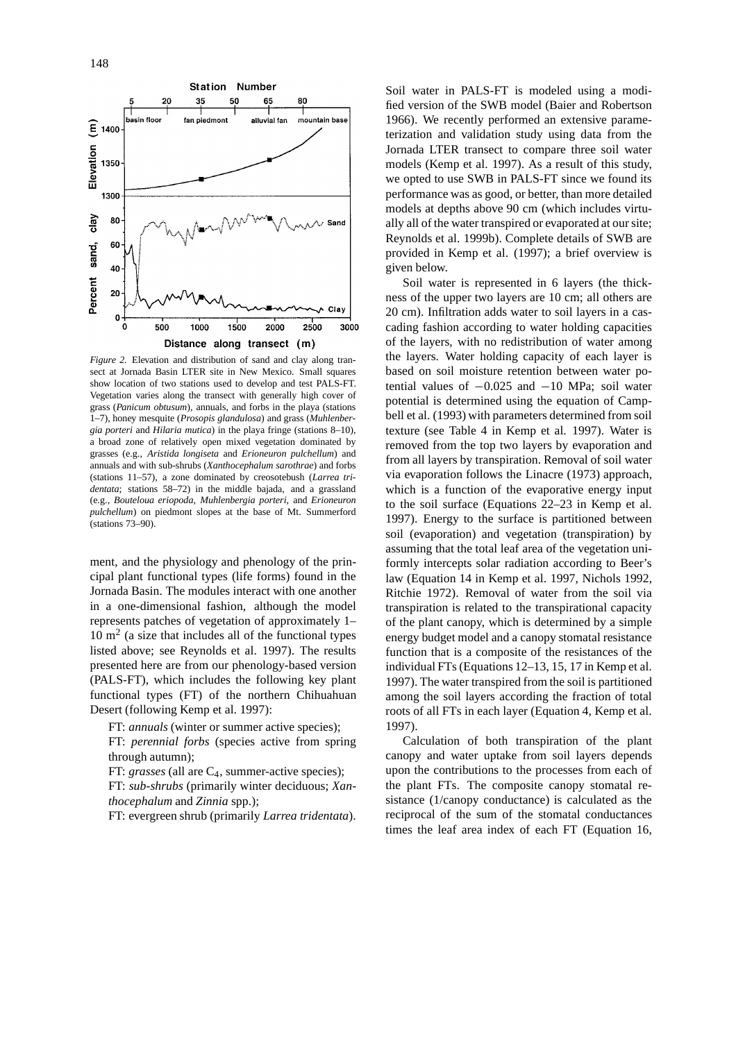

*Figure 2.* Elevation and distribution of sand and clay along transect at Jornada Basin LTER site in New Mexico. Small squares show location of two stations used to develop and test PALS-FT. Vegetation varies along the transect with generally high cover of grass (*Panicum obtusum*), annuals, and forbs in the playa (stations 1–7), honey mesquite (*Prosopis glandulosa*) and grass (*Muhlenbergia porteri* and *Hilaria mutica*) in the playa fringe (stations 8–10), a broad zone of relatively open mixed vegetation dominated by grasses (e.g., *Aristida longiseta* and *Erioneuron pulchellum*) and annuals and with sub-shrubs (*Xanthocephalum sarothrae*) and forbs (stations 11–57), a zone dominated by creosotebush (*Larrea tridentata*; stations 58–72) in the middle bajada, and a grassland (e.g., *Bouteloua eriopoda*, *Muhlenbergia porteri*, and *Erioneuron pulchellum*) on piedmont slopes at the base of Mt. Summerford (stations 73–90).

ment, and the physiology and phenology of the principal plant functional types (life forms) found in the Jornada Basin. The modules interact with one another in a one-dimensional fashion, although the model represents patches of vegetation of approximately 1–  $10 \text{ m}^2$  (a size that includes all of the functional types listed above; see Reynolds et al. 1997). The results presented here are from our phenology-based version (PALS-FT), which includes the following key plant functional types (FT) of the northern Chihuahuan Desert (following Kemp et al. 1997):

FT: *annuals* (winter or summer active species); FT: *perennial forbs* (species active from spring through autumn);

FT: *grasses* (all are C<sub>4</sub>, summer-active species); FT: *sub-shrubs* (primarily winter deciduous; *Xanthocephalum* and *Zinnia* spp.);

FT: evergreen shrub (primarily *Larrea tridentata*).

Soil water in PALS-FT is modeled using a modified version of the SWB model (Baier and Robertson 1966). We recently performed an extensive parameterization and validation study using data from the Jornada LTER transect to compare three soil water models (Kemp et al. 1997). As a result of this study, we opted to use SWB in PALS-FT since we found its performance was as good, or better, than more detailed models at depths above 90 cm (which includes virtually all of the water transpired or evaporated at our site; Reynolds et al. 1999b). Complete details of SWB are provided in Kemp et al. (1997); a brief overview is given below.

Soil water is represented in 6 layers (the thickness of the upper two layers are 10 cm; all others are 20 cm). Infiltration adds water to soil layers in a cascading fashion according to water holding capacities of the layers, with no redistribution of water among the layers. Water holding capacity of each layer is based on soil moisture retention between water potential values of −0.025 and −10 MPa; soil water potential is determined using the equation of Campbell et al. (1993) with parameters determined from soil texture (see Table 4 in Kemp et al. 1997). Water is removed from the top two layers by evaporation and from all layers by transpiration. Removal of soil water via evaporation follows the Linacre (1973) approach, which is a function of the evaporative energy input to the soil surface (Equations 22–23 in Kemp et al. 1997). Energy to the surface is partitioned between soil (evaporation) and vegetation (transpiration) by assuming that the total leaf area of the vegetation uniformly intercepts solar radiation according to Beer's law (Equation 14 in Kemp et al. 1997, Nichols 1992, Ritchie 1972). Removal of water from the soil via transpiration is related to the transpirational capacity of the plant canopy, which is determined by a simple energy budget model and a canopy stomatal resistance function that is a composite of the resistances of the individual FTs (Equations 12–13, 15, 17 in Kemp et al. 1997). The water transpired from the soil is partitioned among the soil layers according the fraction of total roots of all FTs in each layer (Equation 4, Kemp et al. 1997).

Calculation of both transpiration of the plant canopy and water uptake from soil layers depends upon the contributions to the processes from each of the plant FTs. The composite canopy stomatal resistance (1/canopy conductance) is calculated as the reciprocal of the sum of the stomatal conductances times the leaf area index of each FT (Equation 16,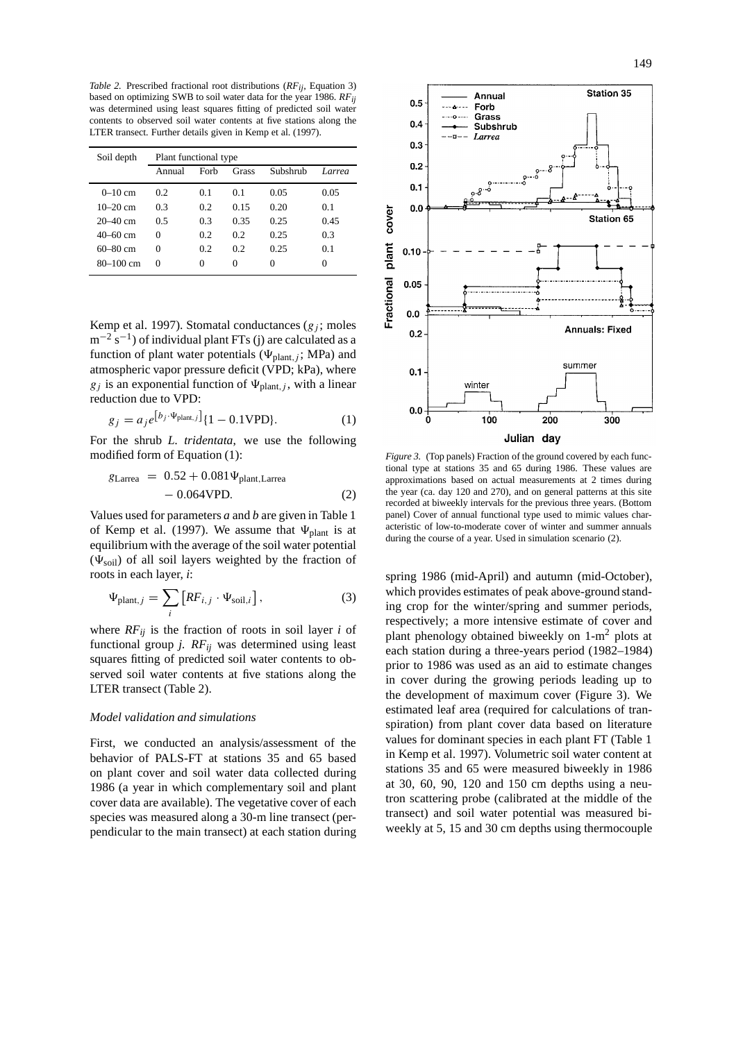*Table 2.* Prescribed fractional root distributions (*RFij*, Equation 3) based on optimizing SWB to soil water data for the year 1986. *RFij* was determined using least squares fitting of predicted soil water contents to observed soil water contents at five stations along the LTER transect. Further details given in Kemp et al. (1997).

| Soil depth    | Plant functional type |      |       |          |        |  |
|---------------|-----------------------|------|-------|----------|--------|--|
|               | Annual                | Forb | Grass | Subshrub | Larrea |  |
| $0-10$ cm     | 0.2                   | 0.1  | 0.1   | 0.05     | 0.05   |  |
| $10-20$ cm    | 0.3                   | 0.2  | 0.15  | 0.20     | 0.1    |  |
| $20-40$ cm    | 0.5                   | 0.3  | 0.35  | 0.25     | 0.45   |  |
| $40-60$ cm    | 0                     | 0.2  | 0.2   | 0.25     | 0.3    |  |
| $60 - 80$ cm  | 0                     | 0.2  | 0.2   | 0.25     | 0.1    |  |
| $80 - 100$ cm | 0                     | 0    | 0     | 0        | 0      |  |

Kemp et al. 1997). Stomatal conductances  $(g_i;$  moles  $m^{-2}$  s<sup>-1</sup>) of individual plant FTs (j) are calculated as a function of plant water potentials ( $\Psi_{\text{plant},j}$ ; MPa) and atmospheric vapor pressure deficit (VPD; kPa), where  $g_j$  is an exponential function of  $\Psi_{\text{plant},j}$ , with a linear reduction due to VPD:

$$
g_j = a_j e^{[b_j \cdot \Psi_{\text{plant},j}]} \{1 - 0.1 \text{VPD}\}. \tag{1}
$$

For the shrub *L. tridentata*, we use the following modified form of Equation (1):

$$
g_{\text{Larrea}} = 0.52 + 0.081 \Psi_{\text{plant,Larrea}} - 0.064 \text{VPD}.
$$
 (2)

Values used for parameters *a* and *b* are given in Table 1 of Kemp et al. (1997). We assume that  $\Psi_{\text{plant}}$  is at equilibrium with the average of the soil water potential  $(\Psi_{\text{soil}})$  of all soil layers weighted by the fraction of roots in each layer, *i*:

$$
\Psi_{\text{plant},j} = \sum_{i} \left[ RF_{i,j} \cdot \Psi_{\text{soil},i} \right],\tag{3}
$$

where  $RF_{ij}$  is the fraction of roots in soil layer *i* of functional group *j.*  $RF_{ij}$  was determined using least squares fitting of predicted soil water contents to observed soil water contents at five stations along the LTER transect (Table 2).

#### *Model validation and simulations*

First, we conducted an analysis/assessment of the behavior of PALS-FT at stations 35 and 65 based on plant cover and soil water data collected during 1986 (a year in which complementary soil and plant cover data are available). The vegetative cover of each species was measured along a 30-m line transect (perpendicular to the main transect) at each station during



*Figure 3.* (Top panels) Fraction of the ground covered by each functional type at stations 35 and 65 during 1986. These values are approximations based on actual measurements at 2 times during the year (ca. day 120 and 270), and on general patterns at this site recorded at biweekly intervals for the previous three years. (Bottom panel) Cover of annual functional type used to mimic values characteristic of low-to-moderate cover of winter and summer annuals during the course of a year. Used in simulation scenario (2).

spring 1986 (mid-April) and autumn (mid-October), which provides estimates of peak above-ground standing crop for the winter/spring and summer periods, respectively; a more intensive estimate of cover and plant phenology obtained biweekly on 1-m<sup>2</sup> plots at each station during a three-years period (1982–1984) prior to 1986 was used as an aid to estimate changes in cover during the growing periods leading up to the development of maximum cover (Figure 3). We estimated leaf area (required for calculations of transpiration) from plant cover data based on literature values for dominant species in each plant FT (Table 1 in Kemp et al. 1997). Volumetric soil water content at stations 35 and 65 were measured biweekly in 1986 at 30, 60, 90, 120 and 150 cm depths using a neutron scattering probe (calibrated at the middle of the transect) and soil water potential was measured biweekly at 5, 15 and 30 cm depths using thermocouple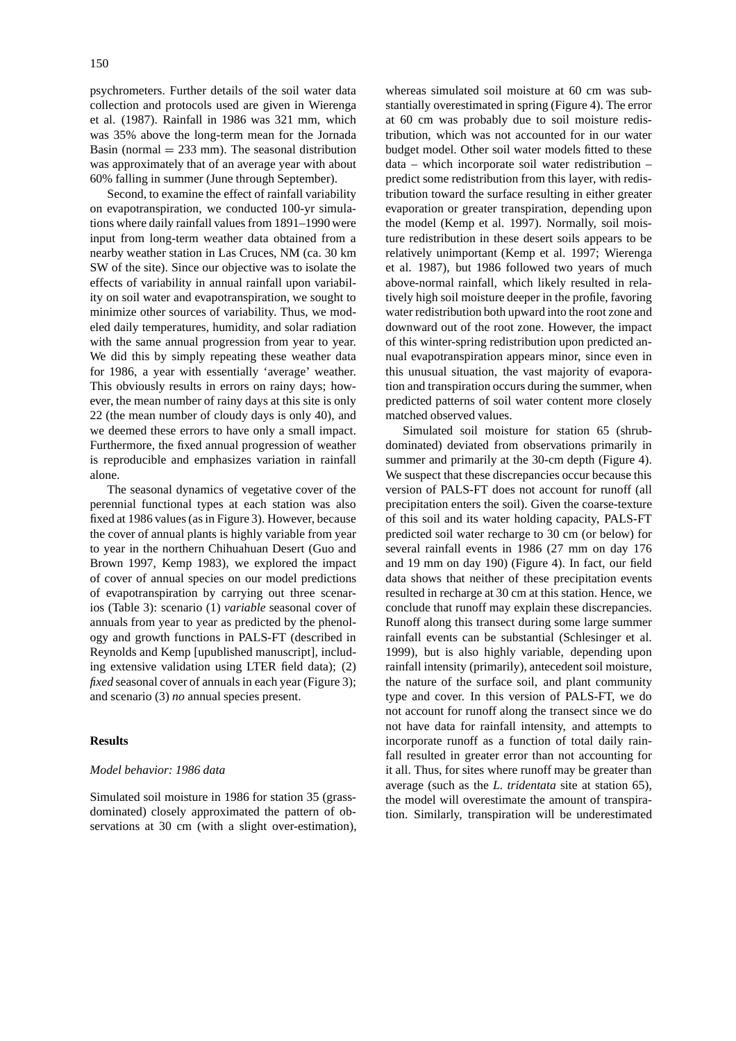psychrometers. Further details of the soil water data collection and protocols used are given in Wierenga et al. (1987). Rainfall in 1986 was 321 mm, which was 35% above the long-term mean for the Jornada Basin (normal  $= 233$  mm). The seasonal distribution was approximately that of an average year with about 60% falling in summer (June through September).

Second, to examine the effect of rainfall variability on evapotranspiration, we conducted 100-yr simulations where daily rainfall values from 1891–1990 were input from long-term weather data obtained from a nearby weather station in Las Cruces, NM (ca. 30 km SW of the site). Since our objective was to isolate the effects of variability in annual rainfall upon variability on soil water and evapotranspiration, we sought to minimize other sources of variability. Thus, we modeled daily temperatures, humidity, and solar radiation with the same annual progression from year to year. We did this by simply repeating these weather data for 1986, a year with essentially 'average' weather. This obviously results in errors on rainy days; however, the mean number of rainy days at this site is only 22 (the mean number of cloudy days is only 40), and we deemed these errors to have only a small impact. Furthermore, the fixed annual progression of weather is reproducible and emphasizes variation in rainfall alone.

The seasonal dynamics of vegetative cover of the perennial functional types at each station was also fixed at 1986 values (as in Figure 3). However, because the cover of annual plants is highly variable from year to year in the northern Chihuahuan Desert (Guo and Brown 1997, Kemp 1983), we explored the impact of cover of annual species on our model predictions of evapotranspiration by carrying out three scenarios (Table 3): scenario (1) *variable* seasonal cover of annuals from year to year as predicted by the phenology and growth functions in PALS-FT (described in Reynolds and Kemp [upublished manuscript], including extensive validation using LTER field data); (2) *fixed* seasonal cover of annuals in each year (Figure 3); and scenario (3) *no* annual species present.

# **Results**

### *Model behavior: 1986 data*

Simulated soil moisture in 1986 for station 35 (grassdominated) closely approximated the pattern of observations at 30 cm (with a slight over-estimation), whereas simulated soil moisture at 60 cm was substantially overestimated in spring (Figure 4). The error at 60 cm was probably due to soil moisture redistribution, which was not accounted for in our water budget model. Other soil water models fitted to these data – which incorporate soil water redistribution – predict some redistribution from this layer, with redistribution toward the surface resulting in either greater evaporation or greater transpiration, depending upon the model (Kemp et al. 1997). Normally, soil moisture redistribution in these desert soils appears to be relatively unimportant (Kemp et al. 1997; Wierenga et al. 1987), but 1986 followed two years of much above-normal rainfall, which likely resulted in relatively high soil moisture deeper in the profile, favoring water redistribution both upward into the root zone and downward out of the root zone. However, the impact of this winter-spring redistribution upon predicted annual evapotranspiration appears minor, since even in this unusual situation, the vast majority of evaporation and transpiration occurs during the summer, when predicted patterns of soil water content more closely matched observed values.

Simulated soil moisture for station 65 (shrubdominated) deviated from observations primarily in summer and primarily at the 30-cm depth (Figure 4). We suspect that these discrepancies occur because this version of PALS-FT does not account for runoff (all precipitation enters the soil). Given the coarse-texture of this soil and its water holding capacity, PALS-FT predicted soil water recharge to 30 cm (or below) for several rainfall events in 1986 (27 mm on day 176 and 19 mm on day 190) (Figure 4). In fact, our field data shows that neither of these precipitation events resulted in recharge at 30 cm at this station. Hence, we conclude that runoff may explain these discrepancies. Runoff along this transect during some large summer rainfall events can be substantial (Schlesinger et al. 1999), but is also highly variable, depending upon rainfall intensity (primarily), antecedent soil moisture, the nature of the surface soil, and plant community type and cover. In this version of PALS-FT, we do not account for runoff along the transect since we do not have data for rainfall intensity, and attempts to incorporate runoff as a function of total daily rainfall resulted in greater error than not accounting for it all. Thus, for sites where runoff may be greater than average (such as the *L. tridentata* site at station 65), the model will overestimate the amount of transpiration. Similarly, transpiration will be underestimated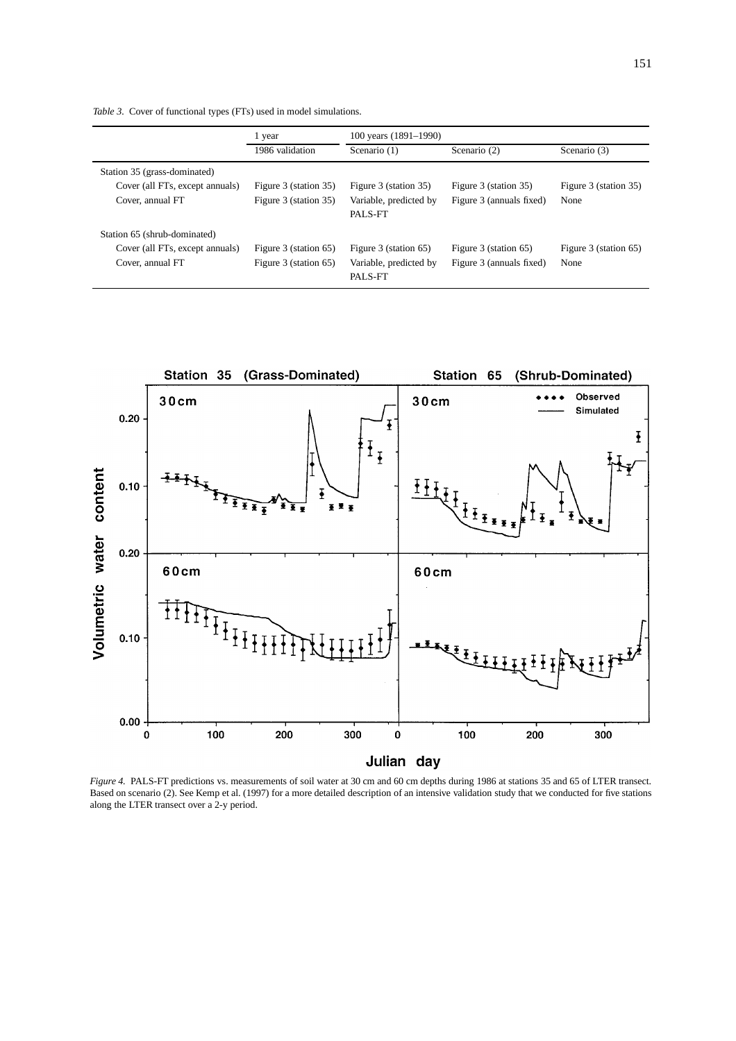*Table 3.* Cover of functional types (FTs) used in model simulations.

|                                 | 1 year                | 100 years (1891–1990)  |                          |                       |  |  |
|---------------------------------|-----------------------|------------------------|--------------------------|-----------------------|--|--|
|                                 | 1986 validation       | Scenario (1)           | Scenario (2)             | Scenario (3)          |  |  |
| Station 35 (grass-dominated)    |                       |                        |                          |                       |  |  |
| Cover (all FTs, except annuals) | Figure 3 (station 35) | Figure 3 (station 35)  | Figure 3 (station 35)    | Figure 3 (station 35) |  |  |
| Cover, annual FT                | Figure 3 (station 35) | Variable, predicted by | Figure 3 (annuals fixed) | None                  |  |  |
|                                 |                       | PALS-FT                |                          |                       |  |  |
| Station 65 (shrub-dominated)    |                       |                        |                          |                       |  |  |
| Cover (all FTs, except annuals) | Figure 3 (station 65) | Figure 3 (station 65)  | Figure 3 (station 65)    | Figure 3 (station 65) |  |  |
| Cover, annual FT                | Figure 3 (station 65) | Variable, predicted by | Figure 3 (annuals fixed) | None                  |  |  |
|                                 |                       | PALS-FT                |                          |                       |  |  |



*Figure 4.* PALS-FT predictions vs. measurements of soil water at 30 cm and 60 cm depths during 1986 at stations 35 and 65 of LTER transect. Based on scenario (2). See Kemp et al. (1997) for a more detailed description of an intensive validation study that we conducted for five stations along the LTER transect over a 2-y period.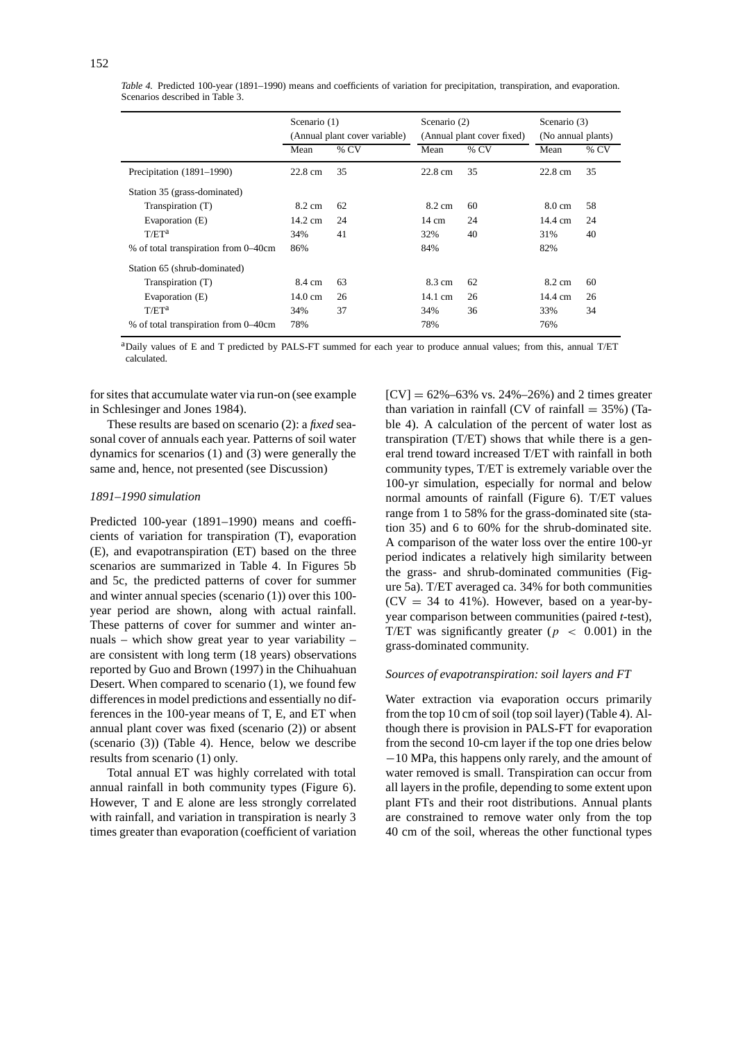|                                      | Scenario (1)<br>(Annual plant cover variable) |        | Scenario (2)<br>(Annual plant cover fixed) |        | Scenario (3)<br>(No annual plants) |        |
|--------------------------------------|-----------------------------------------------|--------|--------------------------------------------|--------|------------------------------------|--------|
|                                      | Mean                                          | $%$ CV | Mean                                       | $%$ CV | Mean                               | $%$ CV |
| Precipitation (1891-1990)            | 22.8 cm                                       | 35     | $22.8 \text{ cm}$                          | 35     | $22.8 \text{ cm}$                  | 35     |
| Station 35 (grass-dominated)         |                                               |        |                                            |        |                                    |        |
| Transpiration (T)                    | 8.2 cm                                        | 62     | $8.2 \text{ cm}$                           | 60     | $8.0 \text{ cm}$                   | 58     |
| Evaporation (E)                      | $14.2 \text{ cm}$                             | 24     | $14 \text{ cm}$                            | 24     | 14.4 cm                            | 24     |
| $T/ET^a$                             | 34%                                           | 41     | 32%                                        | 40     | 31%                                | 40     |
| % of total transpiration from 0–40cm | 86%                                           |        | 84%                                        |        | 82%                                |        |
| Station 65 (shrub-dominated)         |                                               |        |                                            |        |                                    |        |
| Transpiration (T)                    | 8.4 cm                                        | 63     | 8.3 cm                                     | 62     | $8.2 \text{ cm}$                   | 60     |
| Evaporation (E)                      | 14.0 cm                                       | 26     | 14.1 cm                                    | 26     | 14.4 cm                            | 26     |
| $T/ET^a$                             | 34%                                           | 37     | 34%                                        | 36     | 33%                                | 34     |
| % of total transpiration from 0-40cm | 78%                                           |        | 78%                                        |        | 76%                                |        |

*Table 4.* Predicted 100-year (1891–1990) means and coefficients of variation for precipitation, transpiration, and evaporation. Scenarios described in Table 3.

aDaily values of E and T predicted by PALS-FT summed for each year to produce annual values; from this, annual T/ET calculated.

for sites that accumulate water via run-on (see example in Schlesinger and Jones 1984).

These results are based on scenario (2): a *fixed* seasonal cover of annuals each year. Patterns of soil water dynamics for scenarios (1) and (3) were generally the same and, hence, not presented (see Discussion)

# *1891–1990 simulation*

Predicted 100-year (1891–1990) means and coefficients of variation for transpiration (T), evaporation (E), and evapotranspiration (ET) based on the three scenarios are summarized in Table 4. In Figures 5b and 5c, the predicted patterns of cover for summer and winter annual species (scenario (1)) over this 100 year period are shown, along with actual rainfall. These patterns of cover for summer and winter annuals – which show great year to year variability – are consistent with long term (18 years) observations reported by Guo and Brown (1997) in the Chihuahuan Desert. When compared to scenario (1), we found few differences in model predictions and essentially no differences in the 100-year means of T, E, and ET when annual plant cover was fixed (scenario (2)) or absent (scenario (3)) (Table 4). Hence, below we describe results from scenario (1) only.

Total annual ET was highly correlated with total annual rainfall in both community types (Figure 6). However, T and E alone are less strongly correlated with rainfall, and variation in transpiration is nearly 3 times greater than evaporation (coefficient of variation  $[CV] = 62\% - 63\%$  vs. 24%–26%) and 2 times greater than variation in rainfall (CV of rainfall  $=$  35%) (Table 4). A calculation of the percent of water lost as transpiration (T/ET) shows that while there is a general trend toward increased T/ET with rainfall in both community types, T/ET is extremely variable over the 100-yr simulation, especially for normal and below normal amounts of rainfall (Figure 6). T/ET values range from 1 to 58% for the grass-dominated site (station 35) and 6 to 60% for the shrub-dominated site. A comparison of the water loss over the entire 100-yr period indicates a relatively high similarity between the grass- and shrub-dominated communities (Figure 5a). T/ET averaged ca. 34% for both communities  $(CV = 34$  to 41%). However, based on a year-byyear comparison between communities (paired *t*-test), T/ET was significantly greater (*p <* 0*.*001) in the grass-dominated community.

# *Sources of evapotranspiration: soil layers and FT*

Water extraction via evaporation occurs primarily from the top 10 cm of soil (top soil layer) (Table 4). Although there is provision in PALS-FT for evaporation from the second 10-cm layer if the top one dries below −10 MPa, this happens only rarely, and the amount of water removed is small. Transpiration can occur from all layers in the profile, depending to some extent upon plant FTs and their root distributions. Annual plants are constrained to remove water only from the top 40 cm of the soil, whereas the other functional types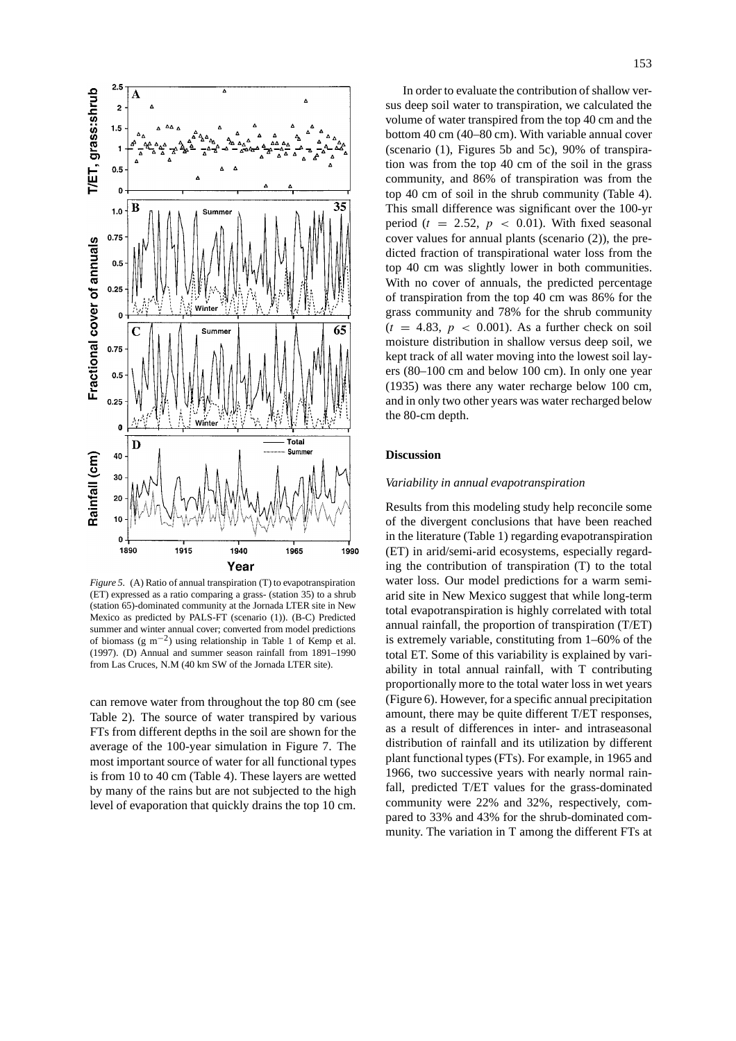

*Figure 5.* (A) Ratio of annual transpiration (T) to evapotranspiration (ET) expressed as a ratio comparing a grass- (station 35) to a shrub (station 65)-dominated community at the Jornada LTER site in New Mexico as predicted by PALS-FT (scenario (1)). (B-C) Predicted summer and winter annual cover; converted from model predictions of biomass (g m<sup>−</sup>2) using relationship in Table 1 of Kemp et al. (1997). (D) Annual and summer season rainfall from 1891–1990 from Las Cruces, N.M (40 km SW of the Jornada LTER site).

can remove water from throughout the top 80 cm (see Table 2). The source of water transpired by various FTs from different depths in the soil are shown for the average of the 100-year simulation in Figure 7. The most important source of water for all functional types is from 10 to 40 cm (Table 4). These layers are wetted by many of the rains but are not subjected to the high level of evaporation that quickly drains the top 10 cm.

In order to evaluate the contribution of shallow versus deep soil water to transpiration, we calculated the volume of water transpired from the top 40 cm and the bottom 40 cm (40–80 cm). With variable annual cover (scenario (1), Figures 5b and 5c), 90% of transpiration was from the top 40 cm of the soil in the grass community, and 86% of transpiration was from the top 40 cm of soil in the shrub community (Table 4). This small difference was significant over the 100-yr period ( $t = 2.52$ ,  $p < 0.01$ ). With fixed seasonal cover values for annual plants (scenario (2)), the predicted fraction of transpirational water loss from the top 40 cm was slightly lower in both communities. With no cover of annuals, the predicted percentage of transpiration from the top 40 cm was 86% for the grass community and 78% for the shrub community  $(t = 4.83, p < 0.001)$ . As a further check on soil moisture distribution in shallow versus deep soil, we kept track of all water moving into the lowest soil layers (80–100 cm and below 100 cm). In only one year (1935) was there any water recharge below 100 cm, and in only two other years was water recharged below the 80-cm depth.

### **Discussion**

### *Variability in annual evapotranspiration*

Results from this modeling study help reconcile some of the divergent conclusions that have been reached in the literature (Table 1) regarding evapotranspiration (ET) in arid/semi-arid ecosystems, especially regarding the contribution of transpiration (T) to the total water loss. Our model predictions for a warm semiarid site in New Mexico suggest that while long-term total evapotranspiration is highly correlated with total annual rainfall, the proportion of transpiration (T/ET) is extremely variable, constituting from 1–60% of the total ET. Some of this variability is explained by variability in total annual rainfall, with T contributing proportionally more to the total water loss in wet years (Figure 6). However, for a specific annual precipitation amount, there may be quite different T/ET responses, as a result of differences in inter- and intraseasonal distribution of rainfall and its utilization by different plant functional types (FTs). For example, in 1965 and 1966, two successive years with nearly normal rainfall, predicted T/ET values for the grass-dominated community were 22% and 32%, respectively, compared to 33% and 43% for the shrub-dominated community. The variation in T among the different FTs at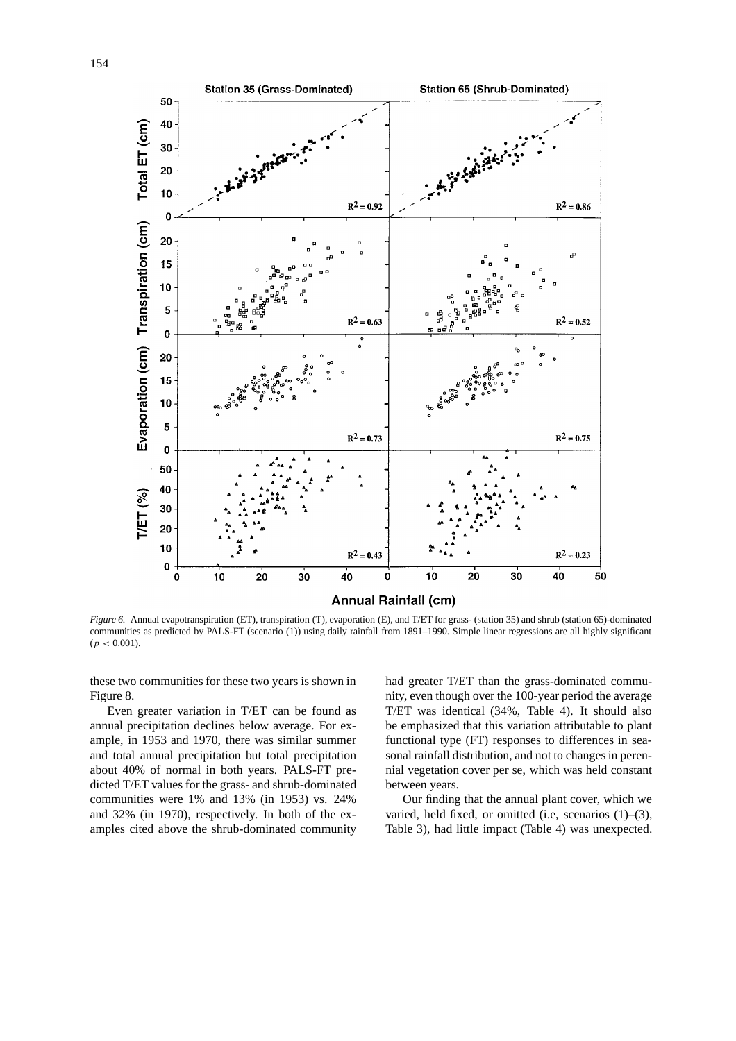

*Figure 6.* Annual evapotranspiration (ET), transpiration (T), evaporation (E), and T/ET for grass- (station 35) and shrub (station 65)-dominated communities as predicted by PALS-FT (scenario (1)) using daily rainfall from 1891–1990. Simple linear regressions are all highly significant  $(p < 0.001)$ .

these two communities for these two years is shown in Figure 8.

Even greater variation in T/ET can be found as annual precipitation declines below average. For example, in 1953 and 1970, there was similar summer and total annual precipitation but total precipitation about 40% of normal in both years. PALS-FT predicted T/ET values for the grass- and shrub-dominated communities were 1% and 13% (in 1953) vs. 24% and 32% (in 1970), respectively. In both of the examples cited above the shrub-dominated community

had greater T/ET than the grass-dominated community, even though over the 100-year period the average T/ET was identical (34%, Table 4). It should also be emphasized that this variation attributable to plant functional type (FT) responses to differences in seasonal rainfall distribution, and not to changes in perennial vegetation cover per se, which was held constant between years.

Our finding that the annual plant cover, which we varied, held fixed, or omitted (i.e, scenarios (1)–(3), Table 3), had little impact (Table 4) was unexpected.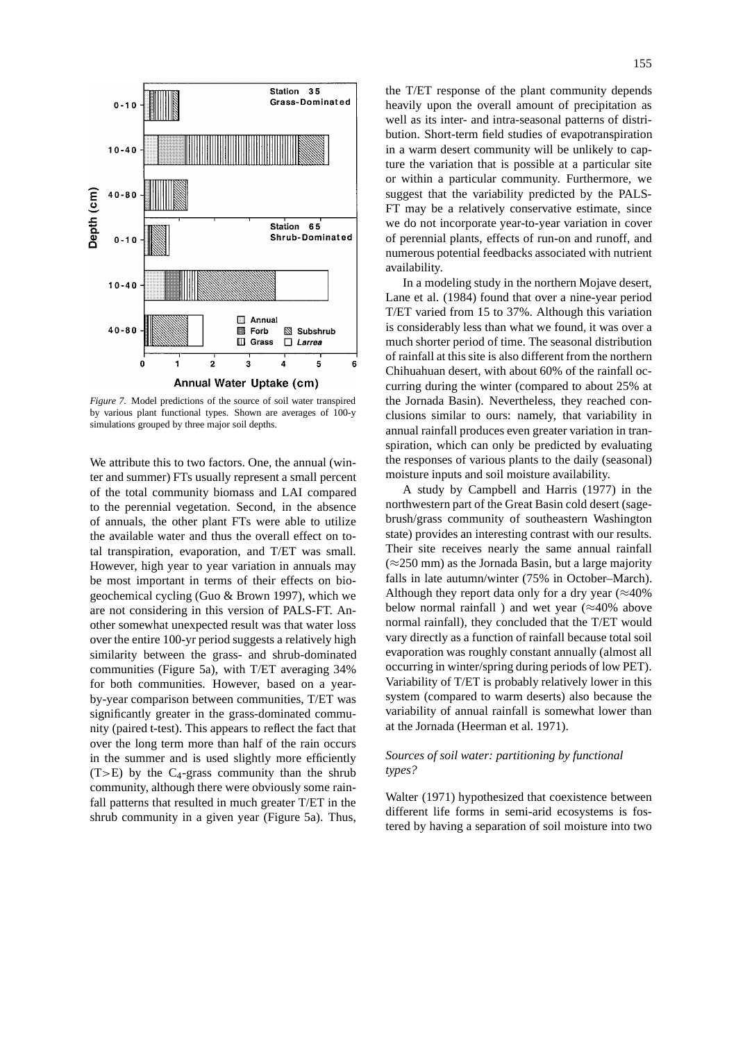

*Figure 7.* Model predictions of the source of soil water transpired by various plant functional types. Shown are averages of 100-y simulations grouped by three major soil depths.

We attribute this to two factors. One, the annual (winter and summer) FTs usually represent a small percent of the total community biomass and LAI compared to the perennial vegetation. Second, in the absence of annuals, the other plant FTs were able to utilize the available water and thus the overall effect on total transpiration, evaporation, and T/ET was small. However, high year to year variation in annuals may be most important in terms of their effects on biogeochemical cycling (Guo & Brown 1997), which we are not considering in this version of PALS-FT. Another somewhat unexpected result was that water loss over the entire 100-yr period suggests a relatively high similarity between the grass- and shrub-dominated communities (Figure 5a), with T/ET averaging 34% for both communities. However, based on a yearby-year comparison between communities, T/ET was significantly greater in the grass-dominated community (paired t-test). This appears to reflect the fact that over the long term more than half of the rain occurs in the summer and is used slightly more efficiently (T*>*E) by the C4-grass community than the shrub community, although there were obviously some rainfall patterns that resulted in much greater T/ET in the shrub community in a given year (Figure 5a). Thus,

the T/ET response of the plant community depends heavily upon the overall amount of precipitation as well as its inter- and intra-seasonal patterns of distribution. Short-term field studies of evapotranspiration in a warm desert community will be unlikely to capture the variation that is possible at a particular site or within a particular community. Furthermore, we suggest that the variability predicted by the PALS-FT may be a relatively conservative estimate, since we do not incorporate year-to-year variation in cover of perennial plants, effects of run-on and runoff, and numerous potential feedbacks associated with nutrient availability.

In a modeling study in the northern Mojave desert, Lane et al. (1984) found that over a nine-year period T/ET varied from 15 to 37%. Although this variation is considerably less than what we found, it was over a much shorter period of time. The seasonal distribution of rainfall at this site is also different from the northern Chihuahuan desert, with about 60% of the rainfall occurring during the winter (compared to about 25% at the Jornada Basin). Nevertheless, they reached conclusions similar to ours: namely, that variability in annual rainfall produces even greater variation in transpiration, which can only be predicted by evaluating the responses of various plants to the daily (seasonal) moisture inputs and soil moisture availability.

A study by Campbell and Harris (1977) in the northwestern part of the Great Basin cold desert (sagebrush/grass community of southeastern Washington state) provides an interesting contrast with our results. Their site receives nearly the same annual rainfall  $(\approx 250 \text{ mm})$  as the Jornada Basin, but a large majority falls in late autumn/winter (75% in October–March). Although they report data only for a dry year ( $\approx$ 40%) below normal rainfall ) and wet year ( $\approx$ 40% above normal rainfall), they concluded that the T/ET would vary directly as a function of rainfall because total soil evaporation was roughly constant annually (almost all occurring in winter/spring during periods of low PET). Variability of T/ET is probably relatively lower in this system (compared to warm deserts) also because the variability of annual rainfall is somewhat lower than at the Jornada (Heerman et al. 1971).

### *Sources of soil water: partitioning by functional types?*

Walter (1971) hypothesized that coexistence between different life forms in semi-arid ecosystems is fostered by having a separation of soil moisture into two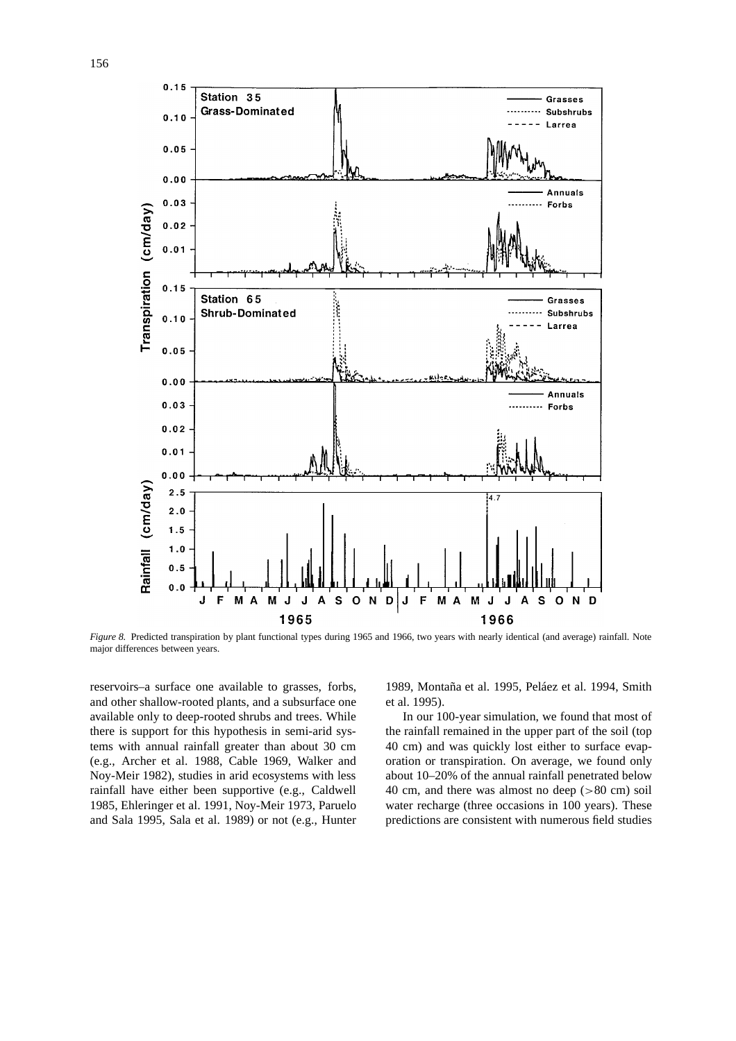

*Figure 8.* Predicted transpiration by plant functional types during 1965 and 1966, two years with nearly identical (and average) rainfall. Note major differences between years.

reservoirs–a surface one available to grasses, forbs, and other shallow-rooted plants, and a subsurface one available only to deep-rooted shrubs and trees. While there is support for this hypothesis in semi-arid systems with annual rainfall greater than about 30 cm (e.g., Archer et al. 1988, Cable 1969, Walker and Noy-Meir 1982), studies in arid ecosystems with less rainfall have either been supportive (e.g., Caldwell 1985, Ehleringer et al. 1991, Noy-Meir 1973, Paruelo and Sala 1995, Sala et al. 1989) or not (e.g., Hunter 1989, Montaña et al. 1995, Peláez et al. 1994, Smith et al. 1995).

In our 100-year simulation, we found that most of the rainfall remained in the upper part of the soil (top 40 cm) and was quickly lost either to surface evaporation or transpiration. On average, we found only about 10–20% of the annual rainfall penetrated below 40 cm, and there was almost no deep (*>*80 cm) soil water recharge (three occasions in 100 years). These predictions are consistent with numerous field studies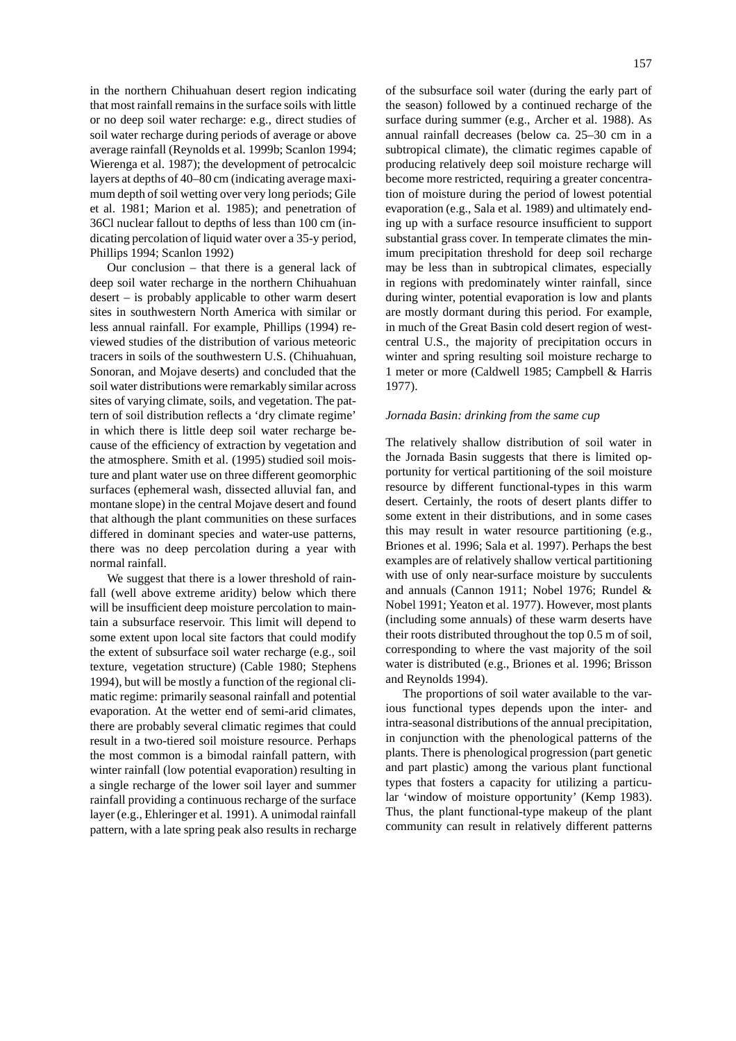in the northern Chihuahuan desert region indicating that most rainfall remains in the surface soils with little or no deep soil water recharge: e.g., direct studies of soil water recharge during periods of average or above average rainfall (Reynolds et al. 1999b; Scanlon 1994; Wierenga et al. 1987); the development of petrocalcic layers at depths of 40–80 cm (indicating average maximum depth of soil wetting over very long periods; Gile et al. 1981; Marion et al. 1985); and penetration of 36Cl nuclear fallout to depths of less than 100 cm (indicating percolation of liquid water over a 35-y period, Phillips 1994; Scanlon 1992)

Our conclusion – that there is a general lack of deep soil water recharge in the northern Chihuahuan desert – is probably applicable to other warm desert sites in southwestern North America with similar or less annual rainfall. For example, Phillips (1994) reviewed studies of the distribution of various meteoric tracers in soils of the southwestern U.S. (Chihuahuan, Sonoran, and Mojave deserts) and concluded that the soil water distributions were remarkably similar across sites of varying climate, soils, and vegetation. The pattern of soil distribution reflects a 'dry climate regime' in which there is little deep soil water recharge because of the efficiency of extraction by vegetation and the atmosphere. Smith et al. (1995) studied soil moisture and plant water use on three different geomorphic surfaces (ephemeral wash, dissected alluvial fan, and montane slope) in the central Mojave desert and found that although the plant communities on these surfaces differed in dominant species and water-use patterns, there was no deep percolation during a year with normal rainfall.

We suggest that there is a lower threshold of rainfall (well above extreme aridity) below which there will be insufficient deep moisture percolation to maintain a subsurface reservoir. This limit will depend to some extent upon local site factors that could modify the extent of subsurface soil water recharge (e.g., soil texture, vegetation structure) (Cable 1980; Stephens 1994), but will be mostly a function of the regional climatic regime: primarily seasonal rainfall and potential evaporation. At the wetter end of semi-arid climates, there are probably several climatic regimes that could result in a two-tiered soil moisture resource. Perhaps the most common is a bimodal rainfall pattern, with winter rainfall (low potential evaporation) resulting in a single recharge of the lower soil layer and summer rainfall providing a continuous recharge of the surface layer (e.g., Ehleringer et al. 1991). A unimodal rainfall pattern, with a late spring peak also results in recharge of the subsurface soil water (during the early part of the season) followed by a continued recharge of the surface during summer (e.g., Archer et al. 1988). As annual rainfall decreases (below ca. 25–30 cm in a subtropical climate), the climatic regimes capable of producing relatively deep soil moisture recharge will become more restricted, requiring a greater concentration of moisture during the period of lowest potential evaporation (e.g., Sala et al. 1989) and ultimately ending up with a surface resource insufficient to support substantial grass cover. In temperate climates the minimum precipitation threshold for deep soil recharge may be less than in subtropical climates, especially in regions with predominately winter rainfall, since during winter, potential evaporation is low and plants are mostly dormant during this period. For example, in much of the Great Basin cold desert region of westcentral U.S., the majority of precipitation occurs in winter and spring resulting soil moisture recharge to 1 meter or more (Caldwell 1985; Campbell & Harris 1977).

## *Jornada Basin: drinking from the same cup*

The relatively shallow distribution of soil water in the Jornada Basin suggests that there is limited opportunity for vertical partitioning of the soil moisture resource by different functional-types in this warm desert. Certainly, the roots of desert plants differ to some extent in their distributions, and in some cases this may result in water resource partitioning (e.g., Briones et al. 1996; Sala et al. 1997). Perhaps the best examples are of relatively shallow vertical partitioning with use of only near-surface moisture by succulents and annuals (Cannon 1911; Nobel 1976; Rundel & Nobel 1991; Yeaton et al. 1977). However, most plants (including some annuals) of these warm deserts have their roots distributed throughout the top 0.5 m of soil, corresponding to where the vast majority of the soil water is distributed (e.g., Briones et al. 1996; Brisson and Reynolds 1994).

The proportions of soil water available to the various functional types depends upon the inter- and intra-seasonal distributions of the annual precipitation, in conjunction with the phenological patterns of the plants. There is phenological progression (part genetic and part plastic) among the various plant functional types that fosters a capacity for utilizing a particular 'window of moisture opportunity' (Kemp 1983). Thus, the plant functional-type makeup of the plant community can result in relatively different patterns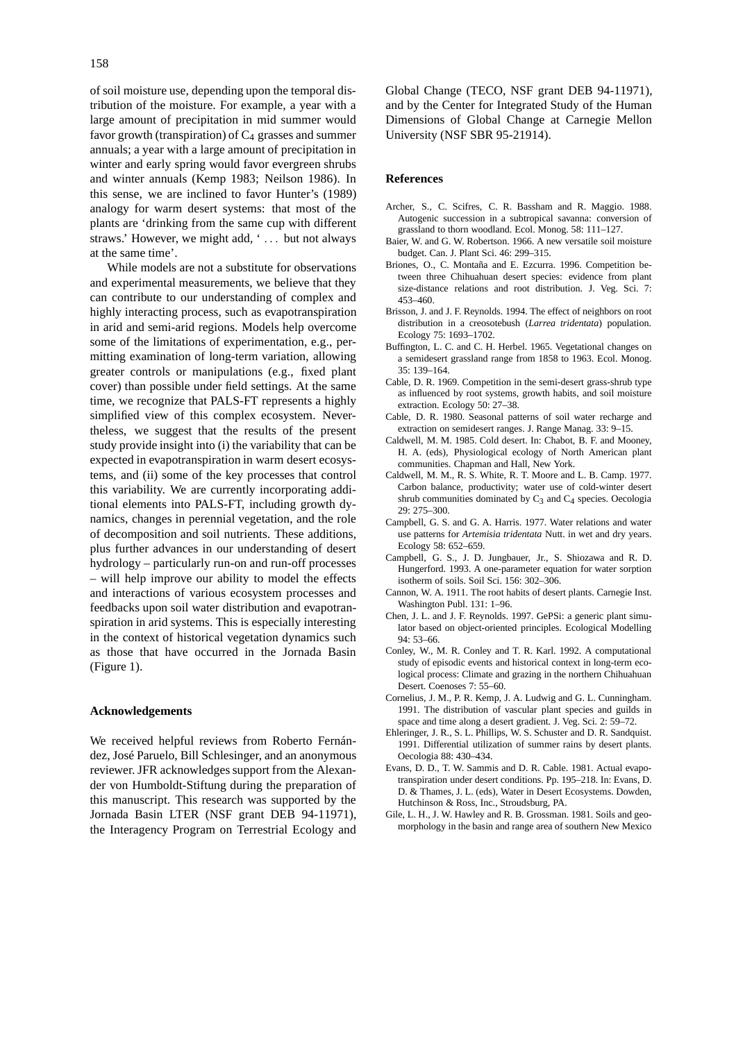of soil moisture use, depending upon the temporal distribution of the moisture. For example, a year with a large amount of precipitation in mid summer would favor growth (transpiration) of  $C_4$  grasses and summer annuals; a year with a large amount of precipitation in winter and early spring would favor evergreen shrubs and winter annuals (Kemp 1983; Neilson 1986). In this sense, we are inclined to favor Hunter's (1989) analogy for warm desert systems: that most of the plants are 'drinking from the same cup with different straws.' However, we might add, ' *...* but not always at the same time'.

While models are not a substitute for observations and experimental measurements, we believe that they can contribute to our understanding of complex and highly interacting process, such as evapotranspiration in arid and semi-arid regions. Models help overcome some of the limitations of experimentation, e.g., permitting examination of long-term variation, allowing greater controls or manipulations (e.g., fixed plant cover) than possible under field settings. At the same time, we recognize that PALS-FT represents a highly simplified view of this complex ecosystem. Nevertheless, we suggest that the results of the present study provide insight into (i) the variability that can be expected in evapotranspiration in warm desert ecosystems, and (ii) some of the key processes that control this variability. We are currently incorporating additional elements into PALS-FT, including growth dynamics, changes in perennial vegetation, and the role of decomposition and soil nutrients. These additions, plus further advances in our understanding of desert hydrology – particularly run-on and run-off processes – will help improve our ability to model the effects and interactions of various ecosystem processes and feedbacks upon soil water distribution and evapotranspiration in arid systems. This is especially interesting in the context of historical vegetation dynamics such as those that have occurred in the Jornada Basin (Figure 1).

#### **Acknowledgements**

We received helpful reviews from Roberto Fernández, José Paruelo, Bill Schlesinger, and an anonymous reviewer. JFR acknowledges support from the Alexander von Humboldt-Stiftung during the preparation of this manuscript. This research was supported by the Jornada Basin LTER (NSF grant DEB 94-11971), the Interagency Program on Terrestrial Ecology and

Global Change (TECO, NSF grant DEB 94-11971), and by the Center for Integrated Study of the Human Dimensions of Global Change at Carnegie Mellon University (NSF SBR 95-21914).

#### **References**

- Archer, S., C. Scifres, C. R. Bassham and R. Maggio. 1988. Autogenic succession in a subtropical savanna: conversion of grassland to thorn woodland. Ecol. Monog. 58: 111–127.
- Baier, W. and G. W. Robertson. 1966. A new versatile soil moisture budget. Can. J. Plant Sci. 46: 299–315.
- Briones, O., C. Montaña and E. Ezcurra. 1996. Competition between three Chihuahuan desert species: evidence from plant size-distance relations and root distribution. J. Veg. Sci. 7: 453–460.
- Brisson, J. and J. F. Reynolds. 1994. The effect of neighbors on root distribution in a creosotebush (*Larrea tridentata*) population. Ecology 75: 1693–1702.
- Buffington, L. C. and C. H. Herbel. 1965. Vegetational changes on a semidesert grassland range from 1858 to 1963. Ecol. Monog. 35: 139–164.
- Cable, D. R. 1969. Competition in the semi-desert grass-shrub type as influenced by root systems, growth habits, and soil moisture extraction. Ecology 50: 27–38.
- Cable, D. R. 1980. Seasonal patterns of soil water recharge and extraction on semidesert ranges. J. Range Manag. 33: 9–15.
- Caldwell, M. M. 1985. Cold desert. In: Chabot, B. F. and Mooney, H. A. (eds), Physiological ecology of North American plant communities. Chapman and Hall, New York.
- Caldwell, M. M., R. S. White, R. T. Moore and L. B. Camp. 1977. Carbon balance, productivity; water use of cold-winter desert shrub communities dominated by  $C_3$  and  $C_4$  species. Oecologia 29: 275–300.
- Campbell, G. S. and G. A. Harris. 1977. Water relations and water use patterns for *Artemisia tridentata* Nutt. in wet and dry years. Ecology 58: 652–659.
- Campbell, G. S., J. D. Jungbauer, Jr., S. Shiozawa and R. D. Hungerford. 1993. A one-parameter equation for water sorption isotherm of soils. Soil Sci. 156: 302–306.
- Cannon, W. A. 1911. The root habits of desert plants. Carnegie Inst. Washington Publ. 131: 1–96.
- Chen, J. L. and J. F. Reynolds. 1997. GePSi: a generic plant simulator based on object-oriented principles. Ecological Modelling  $94.53 - 66$ .
- Conley, W., M. R. Conley and T. R. Karl. 1992. A computational study of episodic events and historical context in long-term ecological process: Climate and grazing in the northern Chihuahuan Desert. Coenoses 7: 55–60.
- Cornelius, J. M., P. R. Kemp, J. A. Ludwig and G. L. Cunningham. 1991. The distribution of vascular plant species and guilds in space and time along a desert gradient. J. Veg. Sci. 2: 59–72.
- Ehleringer, J. R., S. L. Phillips, W. S. Schuster and D. R. Sandquist. 1991. Differential utilization of summer rains by desert plants. Oecologia 88: 430–434.
- Evans, D. D., T. W. Sammis and D. R. Cable. 1981. Actual evapotranspiration under desert conditions. Pp. 195–218. In: Evans, D. D. & Thames, J. L. (eds), Water in Desert Ecosystems. Dowden, Hutchinson & Ross, Inc., Stroudsburg, PA.
- Gile, L. H., J. W. Hawley and R. B. Grossman. 1981. Soils and geomorphology in the basin and range area of southern New Mexico